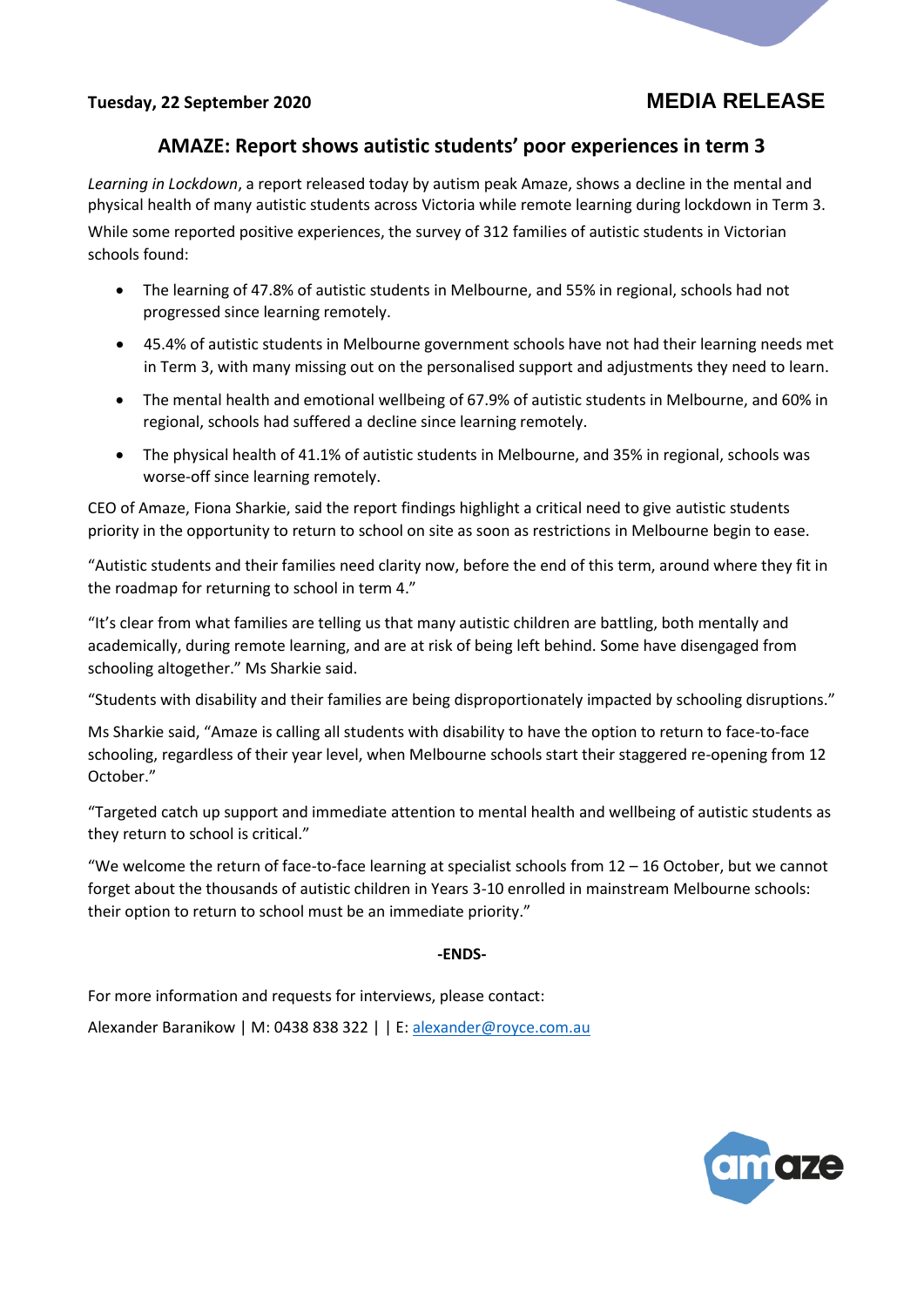## **AMAZE: Report shows autistic students' poor experiences in term 3**

*Learning in Lockdown*, a report released today by autism peak Amaze, shows a decline in the mental and physical health of many autistic students across Victoria while remote learning during lockdown in Term 3. While some reported positive experiences, the survey of 312 families of autistic students in Victorian schools found:

- The learning of 47.8% of autistic students in Melbourne, and 55% in regional, schools had not progressed since learning remotely.
- 45.4% of autistic students in Melbourne government schools have not had their learning needs met in Term 3, with many missing out on the personalised support and adjustments they need to learn.
- The mental health and emotional wellbeing of 67.9% of autistic students in Melbourne, and 60% in regional, schools had suffered a decline since learning remotely.
- The physical health of 41.1% of autistic students in Melbourne, and 35% in regional, schools was worse-off since learning remotely.

CEO of Amaze, Fiona Sharkie, said the report findings highlight a critical need to give autistic students priority in the opportunity to return to school on site as soon as restrictions in Melbourne begin to ease.

"Autistic students and their families need clarity now, before the end of this term, around where they fit in the roadmap for returning to school in term 4."

"It's clear from what families are telling us that many autistic children are battling, both mentally and academically, during remote learning, and are at risk of being left behind. Some have disengaged from schooling altogether." Ms Sharkie said.

"Students with disability and their families are being disproportionately impacted by schooling disruptions."

Ms Sharkie said, "Amaze is calling all students with disability to have the option to return to face-to-face schooling, regardless of their year level, when Melbourne schools start their staggered re-opening from 12 October."

"Targeted catch up support and immediate attention to mental health and wellbeing of autistic students as they return to school is critical."

"We welcome the return of face-to-face learning at specialist schools from  $12 - 16$  October, but we cannot forget about the thousands of autistic children in Years 3-10 enrolled in mainstream Melbourne schools: their option to return to school must be an immediate priority."

**-ENDS-**

For more information and requests for interviews, please contact:

Alexander Baranikow | M: 0438 838 322 | | E: [alexander@royce.com.au](mailto:alexander@royce.com.au)